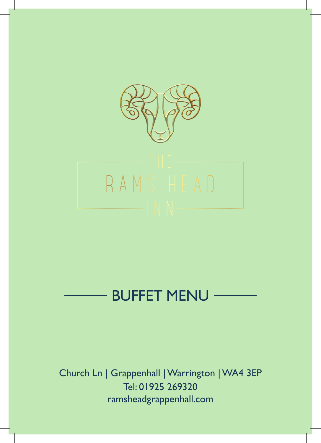

# BUFFET MENU

Church Ln | Grappenhall | Warrington | WA4 3EP Tel: 01925 269320 ramsheadgrappenhall.com